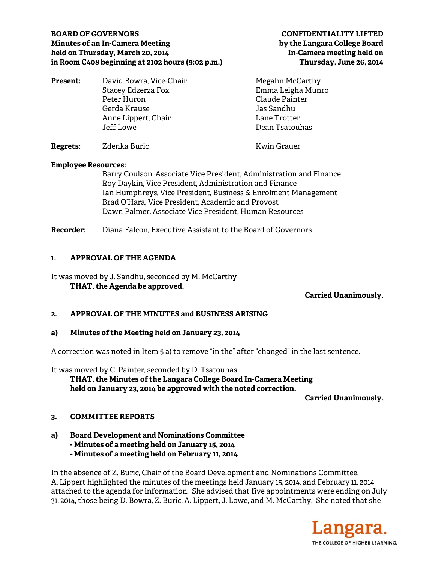## BOARD OF GOVERNORS **CONFIDENTIALITY LIFTED**<br>Minutes of an In-Camera Meeting **CONFIDENTIALITY CONFIDENTIALITY Minutes of an In-Camera Meeting held on Thursday, March 20, 2014 In-Camera meeting held on in Room C408 beginning at 2102 hours (9:02 p.m.) Thursday, June 26, 2014**

| <b>Present:</b> | David Bowra, Vice-Chair | Megahn McCarthy    |
|-----------------|-------------------------|--------------------|
|                 | Stacey Edzerza Fox      | Emma Leigha Munro  |
|                 | Peter Huron             | Claude Painter     |
|                 | Gerda Krause            | Jas Sandhu         |
|                 | Anne Lippert, Chair     | Lane Trotter       |
|                 | Jeff Lowe               | Dean Tsatouhas     |
| <b>Regrets:</b> | Zdenka Buric            | <b>Kwin Grauer</b> |

### **Employee Resources:**

Barry Coulson, Associate Vice President, Administration and Finance Roy Daykin, Vice President, Administration and Finance Ian Humphreys, Vice President, Business & Enrolment Management Brad O'Hara, Vice President, Academic and Provost Dawn Palmer, Associate Vice President, Human Resources

**Recorder:** Diana Falcon, Executive Assistant to the Board of Governors

# **1. APPROVAL OF THE AGENDA**

It was moved by J. Sandhu, seconded by M. McCarthy **THAT, the Agenda be approved.** 

## **Carried Unanimously.**

## **2. APPROVAL OF THE MINUTES and BUSINESS ARISING**

### **a) Minutes of the Meeting held on January 23, 2014**

A correction was noted in Item 5 a) to remove "in the" after "changed" in the last sentence.

It was moved by C. Painter, seconded by D. Tsatouhas  **THAT, the Minutes of the Langara College Board In-Camera Meeting held on January 23, 2014 be approved with the noted correction.** 

**Carried Unanimously.** 

## **3. COMMITTEE REPORTS**

**a) Board Development and Nominations Committee - Minutes of a meeting held on January 15, 2014 - Minutes of a meeting held on February 11, 2014** 

In the absence of Z. Buric, Chair of the Board Development and Nominations Committee, A. Lippert highlighted the minutes of the meetings held January 15, 2014, and February 11, 2014 attached to the agenda for information. She advised that five appointments were ending on July 31, 2014, those being D. Bowra, Z. Buric, A. Lippert, J. Lowe, and M. McCarthy. She noted that she

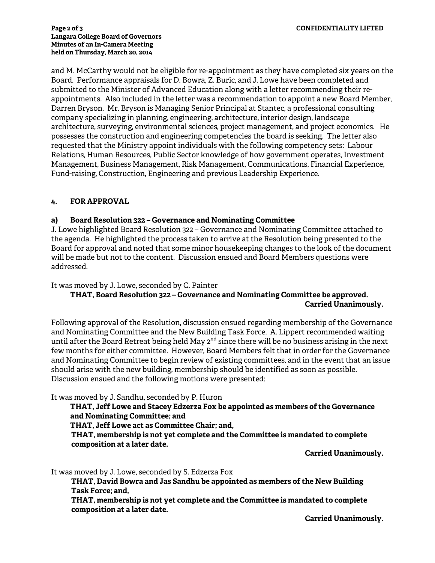#### **Page 2 of 3 CONFIDENTIALITY LIFTED Langara College Board of Governors Minutes of an In-Camera Meeting held on Thursday, March 20, 2014**

and M. McCarthy would not be eligible for re-appointment as they have completed six years on the Board. Performance appraisals for D. Bowra, Z. Buric, and J. Lowe have been completed and submitted to the Minister of Advanced Education along with a letter recommending their reappointments. Also included in the letter was a recommendation to appoint a new Board Member, Darren Bryson. Mr. Bryson is Managing Senior Principal at Stantec, a professional consulting company specializing in planning, engineering, architecture, interior design, landscape architecture, surveying, environmental sciences, project management, and project economics. He possesses the construction and engineering competencies the board is seeking. The letter also requested that the Ministry appoint individuals with the following competency sets: Labour Relations, Human Resources, Public Sector knowledge of how government operates, Investment Management, Business Management, Risk Management, Communications, Financial Experience, Fund-raising, Construction, Engineering and previous Leadership Experience.

# **4. FOR APPROVAL**

### **a) Board Resolution 322 – Governance and Nominating Committee**

J. Lowe highlighted Board Resolution 322 – Governance and Nominating Committee attached to the agenda. He highlighted the process taken to arrive at the Resolution being presented to the Board for approval and noted that some minor housekeeping changes to the look of the document will be made but not to the content. Discussion ensued and Board Members questions were addressed.

It was moved by J. Lowe, seconded by C. Painter

# **THAT, Board Resolution 322 – Governance and Nominating Committee be approved. Carried Unanimously.**

Following approval of the Resolution, discussion ensued regarding membership of the Governance and Nominating Committee and the New Building Task Force. A. Lippert recommended waiting until after the Board Retreat being held May  $2^{nd}$  since there will be no business arising in the next few months for either committee. However, Board Members felt that in order for the Governance and Nominating Committee to begin review of existing committees, and in the event that an issue should arise with the new building, membership should be identified as soon as possible. Discussion ensued and the following motions were presented:

It was moved by J. Sandhu, seconded by P. Huron

**THAT, Jeff Lowe and Stacey Edzerza Fox be appointed as members of the Governance and Nominating Committee; and** 

**THAT, Jeff Lowe act as Committee Chair; and,** 

**THAT, membership is not yet complete and the Committee is mandated to complete composition at a later date.**

**Carried Unanimously.**

It was moved by J. Lowe, seconded by S. Edzerza Fox

**THAT, David Bowra and Jas Sandhu be appointed as members of the New Building Task Force; and,** 

**THAT, membership is not yet complete and the Committee is mandated to complete composition at a later date.**

**Carried Unanimously.**